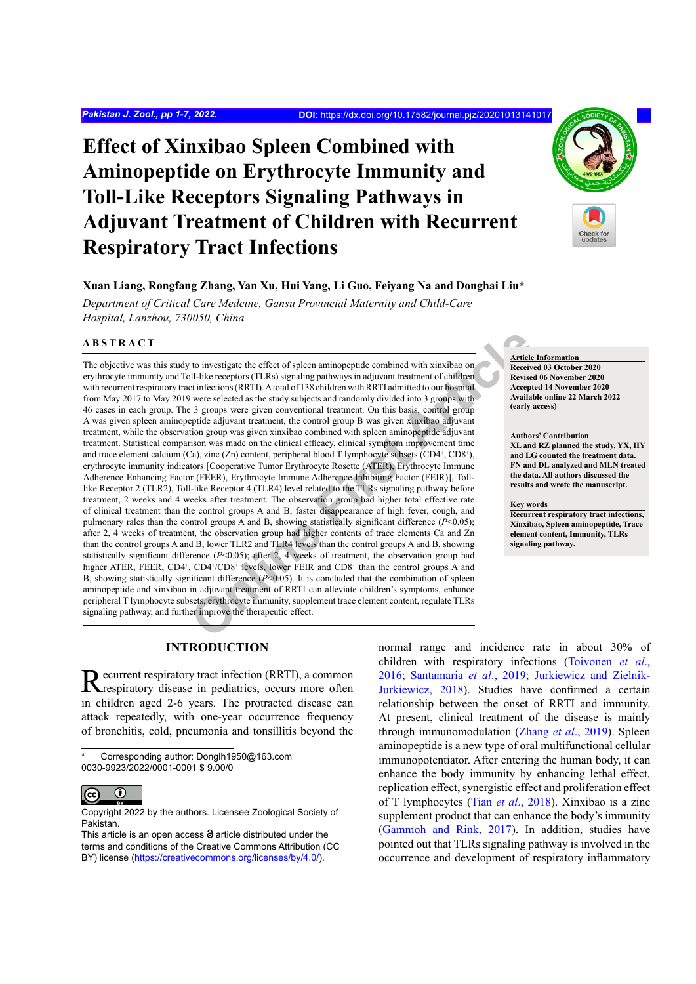# **Effect of Xinxibao Spleen Combined with Aminopeptide on Erythrocyte Immunity and Toll-Like Receptors Signaling Pathways in Adjuvant Treatment of Children with Recurrent Respiratory Tract Infections**

# **Xuan Liang, Rongfang Zhang, Yan Xu, Hui Yang, Li Guo, Feiyang Na and Donghai Liu\***

*Department of Critical Care Medcine, Gansu Provincial Maternity and Child-Care Hospital, Lanzhou, 730050, China*

# **ABSTRACT**

to investigate the effect of spleen aminopeptide combined with xinxibao on<br>
Il-like receptors (T.R.Rs) signaling pathways in adjuvant treatment of chifdren<br>
Electionics (RRIT). A total of 138 children with RRITI admitted The objective was this study to investigate the effect of spleen aminopeptide combined with xinxibao on erythrocyte immunity and Toll-like receptors (TLRs) signaling pathways in adjuvant treatment of children with recurrent respiratory tract infections (RRTI). A total of 138 children with RRTI admitted to our hospital from May 2017 to May 2019 were selected as the study subjects and randomly divided into 3 groups with 46 cases in each group. The 3 groups were given conventional treatment. On this basis, control group A was given spleen aminopeptide adjuvant treatment, the control group B was given xinxibao adjuvant treatment, while the observation group was given xinxibao combined with spleen aminopeptide adjuvant treatment. Statistical comparison was made on the clinical efficacy, clinical symptom improvement time and trace element calcium (Ca), zinc (Zn) content, peripheral blood T lymphocyte subsets  $(CD4^+, CD8^+),$ erythrocyte immunity indicators [Cooperative Tumor Erythrocyte Rosette (ATER), Erythrocyte Immune Adherence Enhancing Factor (FEER), Erythrocyte Immune Adherence Inhibiting Factor (FEIR)], Tolllike Receptor 2 (TLR2), Toll-like Receptor 4 (TLR4) level related to the TLRs signaling pathway before treatment, 2 weeks and 4 weeks after treatment. The observation group had higher total effective rate of clinical treatment than the control groups A and B, faster disappearance of high fever, cough, and pulmonary rales than the control groups A and B, showing statistically significant difference (*P*<0.05); after 2, 4 weeks of treatment, the observation group had higher contents of trace elements Ca and Zn than the control groups A and B, lower TLR2 and TLR4 levels than the control groups A and B, showing statistically significant difference  $(P< 0.05)$ ; after 2, 4 weeks of treatment, the observation group had higher ATER, FEER, CD4<sup>+</sup>, CD4<sup>+</sup>/CD8<sup>+</sup> levels, lower FEIR and CD8<sup>+</sup> than the control groups A and B, showing statistically significant difference (*P*<0.05). It is concluded that the combination of spleen aminopeptide and xinxibao in adjuvant treatment of RRTI can alleviate children's symptoms, enhance peripheral T lymphocyte subsets, erythrocyte immunity, supplement trace element content, regulate TLRs signaling pathway, and further improve the therapeutic effect.

# **Article Information**

**Received 03 October 2020 Revised 06 November 2020 Accepted 14 November 2020 Available online 22 March 2022 (early access)**

#### **Authors' Contribution**

**XL and RZ planned the study. YX, HY and LG counted the treatment data. FN and DL analyzed and MLN treated the data. All authors discussed the results and wrote the manuscript.**

#### **Key words**

**Recurrent respiratory tract infections, Xinxibao, Spleen aminopeptide, Trace element content, Immunity, TLRs signaling pathway.**

# **INTRODUCTION**

Recurrent respiratory tract infection (RRTI), a common respiratory disease in pediatrics, occurs more often in children aged 2-6 years. The protracted disease can attack repeatedly, with one-year occurrence frequency of bronchitis, cold, pneumonia and tonsillitis beyond the

Corresponding author: Donglh1950@163.com 0030-9923/2022/0001-0001 \$ 9.00/0



Copyright 2022 by the authors. Licensee Zoological Society of Pakistan.

This article is an open access  $\Theta$  article distributed under the terms and conditions of the Creative Commons Attribution (CC BY) license (https://creativecommons.org/licenses/by/4.0/).

normal range and incidence rate in about 30% of children with respiratory infections [\(Toivonen](#page-6-0) *et al*., [2016;](#page-6-0) [Santamaria](#page-6-1) *et al*., 2019; [Jurkiewicz and Zielnik-](#page-6-2)[Jurkiewicz, 2018](#page-6-2)). Studies have confirmed a certain relationship between the onset of RRTI and immunity. At present, clinical treatment of the disease is mainly through immunomodulation (Zhang *et al*[., 2019\)](#page-6-3). Spleen aminopeptide is a new type of oral multifunctional cellular immunopotentiator. After entering the human body, it can enhance the body immunity by enhancing lethal effect, replication effect, synergistic effect and proliferation effect of T lymphocytes (Tian *et al*[., 2018\)](#page-6-4). Xinxibao is a zinc supplement product that can enhance the body's immunity [\(Gammoh and Rink, 2017\)](#page-5-0). In addition, studies have pointed out that TLRs signaling pathway is involved in the occurrence and development of respiratory inflammatory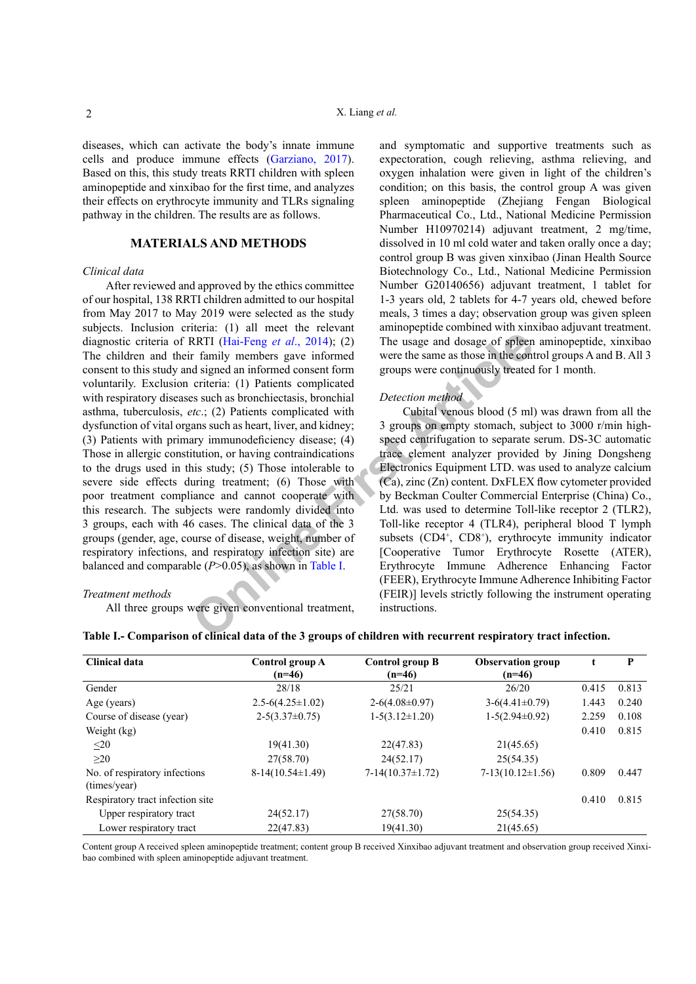diseases, which can activate the body's innate immune cells and produce immune effects [\(Garziano, 2017](#page-5-1)). Based on this, this study treats RRTI children with spleen aminopeptide and xinxibao for the first time, and analyzes their effects on erythrocyte immunity and TLRs signaling pathway in the children. The results are as follows.

# **MATERIALS AND METHODS**

## *Clinical data*

**ONCORRED (Hai-Feng et al., 2014):** (2) The usage and dosage of spleen<br>
r family members gave informed were the same as those in the control of signed an informed consent form groups were continuously treated<br>
criteria: (1 After reviewed and approved by the ethics committee of our hospital, 138 RRTI children admitted to our hospital from May 2017 to May 2019 were selected as the study subjects. Inclusion criteria: (1) all meet the relevant diagnostic criteria of RRTI (Hai-Feng *et al*., 2014); (2) The children and their family members gave informed consent to this study and signed an informed consent form voluntarily. Exclusion criteria: (1) Patients complicated with respiratory diseases such as bronchiectasis, bronchial asthma, tuberculosis, *etc*.; (2) Patients complicated with dysfunction of vital organs such as heart, liver, and kidney; (3) Patients with primary immunodeficiency disease; (4) Those in allergic constitution, or having contraindications to the drugs used in this study; (5) Those intolerable to severe side effects during treatment; (6) Those with poor treatment compliance and cannot cooperate with this research. The subjects were randomly divided into 3 groups, each with 46 cases. The clinical data of the 3 groups (gender, age, course of disease, weight, number of respiratory infections, and respiratory infection site) are balanced and comparable (*P*>0.05), as shown in Table I.

## *Treatment methods*

All three groups were given conventional treatment,

and symptomatic and supportive treatments such as expectoration, cough relieving, asthma relieving, and oxygen inhalation were given in light of the children's condition; on this basis, the control group A was given spleen aminopeptide (Zhejiang Fengan Biological Pharmaceutical Co., Ltd., National Medicine Permission Number H10970214) adjuvant treatment, 2 mg/time, dissolved in 10 ml cold water and taken orally once a day; control group B was given xinxibao (Jinan Health Source Biotechnology Co., Ltd., National Medicine Permission Number G20140656) adjuvant treatment, 1 tablet for 1-3 years old, 2 tablets for 4-7 years old, chewed before meals, 3 times a day; observation group was given spleen aminopeptide combined with xinxibao adjuvant treatment. The usage and dosage of spleen aminopeptide, xinxibao were the same as those in the control groups A and B. All 3 groups were continuously treated for 1 month.

## *Detection method*

Cubital venous blood (5 ml) was drawn from all the 3 groups on empty stomach, subject to 3000 r/min highspeed centrifugation to separate serum. DS-3C automatic trace element analyzer provided by Jining Dongsheng Electronics Equipment LTD. was used to analyze calcium (Ca), zinc (Zn) content. DxFLEX flow cytometer provided by Beckman Coulter Commercial Enterprise (China) Co., Ltd. was used to determine Toll-like receptor 2 (TLR2), Toll-like receptor 4 (TLR4), peripheral blood T lymph subsets (CD4<sup>+</sup>, CD8<sup>+</sup>), erythrocyte immunity indicator [Cooperative Tumor Erythrocyte Rosette (ATER), Erythrocyte Immune Adherence Enhancing Factor (FEER), Erythrocyte Immune Adherence Inhibiting Factor (FEIR)] levels strictly following the instrument operating instructions.

| Clinical data                                 | Control group A<br>$(n=46)$ | Control group B<br>$(n=46)$ | <b>Observation group</b><br>$(n=46)$ | t     | P     |
|-----------------------------------------------|-----------------------------|-----------------------------|--------------------------------------|-------|-------|
| Gender                                        | 28/18                       | 25/21                       | 26/20                                | 0.415 | 0.813 |
| Age (years)                                   | $2.5 - 6(4.25 \pm 1.02)$    | $2-6(4.08\pm0.97)$          | $3-6(4.41\pm0.79)$                   | 1.443 | 0.240 |
| Course of disease (year)                      | $2-5(3.37\pm0.75)$          | $1-5(3.12\pm1.20)$          | $1-5(2.94\pm0.92)$                   | 2.259 | 0.108 |
| Weight (kg)                                   |                             |                             |                                      | 0.410 | 0.815 |
| $\leq$ 20                                     | 19(41.30)                   | 22(47.83)                   | 21(45.65)                            |       |       |
| $\geq$ 20                                     | 27(58.70)                   | 24(52.17)                   | 25(54.35)                            |       |       |
| No. of respiratory infections<br>(times/year) | $8-14(10.54\pm1.49)$        | $7-14(10.37\pm1.72)$        | $7-13(10.12\pm1.56)$                 | 0.809 | 0.447 |
| Respiratory tract infection site              |                             |                             |                                      | 0.410 | 0.815 |
| Upper respiratory tract                       | 24(52.17)                   | 27(58.70)                   | 25(54.35)                            |       |       |
| Lower respiratory tract                       | 22(47.83)                   | 19(41.30)                   | 21(45.65)                            |       |       |

<span id="page-1-0"></span>**Table I.- Comparison of clinical data of the 3 groups of children with recurrent respiratory tract infection.**

Content group A received spleen aminopeptide treatment; content group B received Xinxibao adjuvant treatment and observation group received Xinxibao combined with spleen aminopeptide adjuvant treatment.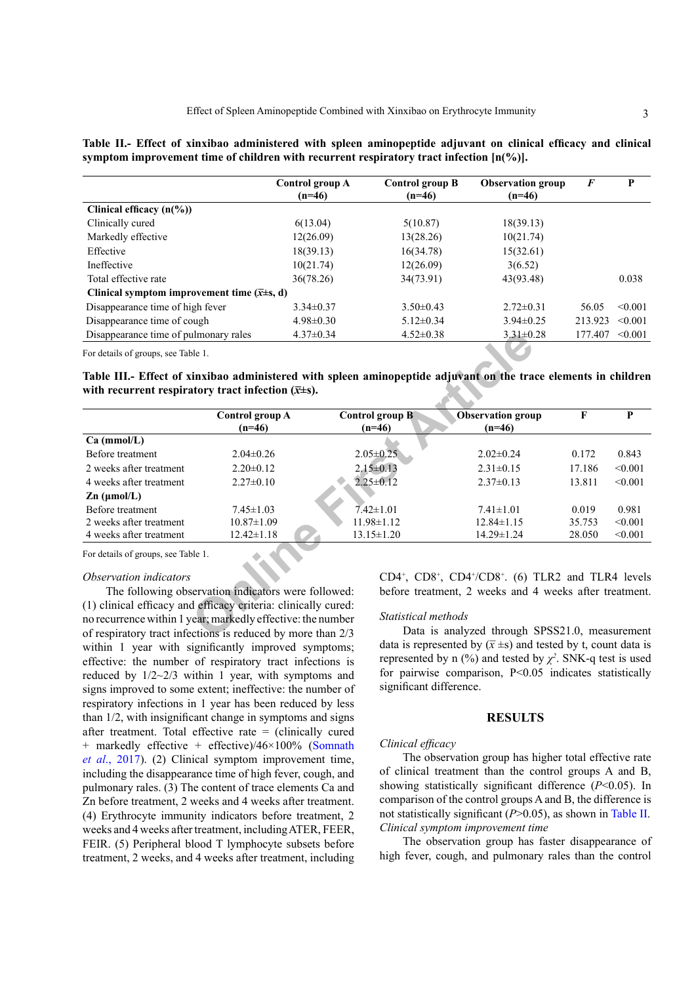<span id="page-2-0"></span>

|  |  |  | Table II.- Effect of xinxibao administered with spleen aminopeptide adjuvant on clinical efficacy and clinical |  |  |  |
|--|--|--|----------------------------------------------------------------------------------------------------------------|--|--|--|
|  |  |  | symptom improvement time of children with recurrent respiratory tract infection $[n(\%)]$ .                    |  |  |  |

|                                                       | Control group A<br>$(n=46)$ | Control group B<br>$(n=46)$ | <b>Observation group</b><br>$(n=46)$ | F       | P            |
|-------------------------------------------------------|-----------------------------|-----------------------------|--------------------------------------|---------|--------------|
| Clinical efficacy $(n\frac{6}{6})$                    |                             |                             |                                      |         |              |
| Clinically cured                                      | 6(13.04)                    | 5(10.87)                    | 18(39.13)                            |         |              |
| Markedly effective                                    | 12(26.09)                   | 13(28.26)                   | 10(21.74)                            |         |              |
| Effective                                             | 18(39.13)                   | 16(34.78)                   | 15(32.61)                            |         |              |
| Ineffective                                           | 10(21.74)                   | 12(26.09)                   | 3(6.52)                              |         |              |
| Total effective rate                                  | 36(78.26)                   | 34(73.91)                   | 43(93.48)                            |         | 0.038        |
| Clinical symptom improvement time $(\bar{x}\pm s, d)$ |                             |                             |                                      |         |              |
| Disappearance time of high fever                      | $3.34\pm0.37$               | $3.50\pm0.43$               | $2.72\pm 0.31$                       | 56.05   | < 0.001      |
| Disappearance time of cough                           | $4.98 \pm 0.30$             | $5.12 \pm 0.34$             | $3.94\pm0.25$                        | 213.923 | $\leq 0.001$ |
| Disappearance time of pulmonary rales                 | $4.37\pm0.34$               | $4.52 \pm 0.38$             | $3.31 \pm 0.28$                      | 177.407 | < 0.001      |
| ----                                                  |                             |                             |                                      |         |              |

<span id="page-2-1"></span>**Table III.- Effect of xinxibao administered with spleen aminopeptide adjuvant on the trace elements in children**  with recurrent respiratory tract infection  $(\bar{x} \pm s)$ .

| Disappearance time of pulmonary rales                               |                                                     | $4.37\pm0.34$<br>$4.52 \pm 0.38$ | $3.31 \pm 0.28$                                                                                                 | 177.407      | < 0.001 |
|---------------------------------------------------------------------|-----------------------------------------------------|----------------------------------|-----------------------------------------------------------------------------------------------------------------|--------------|---------|
| For details of groups, see Table 1.                                 |                                                     |                                  |                                                                                                                 |              |         |
| with recurrent respiratory tract infection $(\overline{x} \pm s)$ . |                                                     |                                  | Table III.- Effect of xinxibao administered with spleen aminopeptide adjuvant on the trace elements in children |              |         |
|                                                                     | Control group A                                     | Control group B                  | <b>Observation</b> group                                                                                        | $\mathbf{F}$ | P       |
|                                                                     | $(n=46)$                                            | $(n=46)$                         | $(n=46)$                                                                                                        |              |         |
| Ca (mmol/L)                                                         |                                                     |                                  |                                                                                                                 |              |         |
| Before treatment                                                    | $2.04 \pm 0.26$                                     | $2.05 \pm 0.25$                  | $2.02 \pm 0.24$                                                                                                 | 0.172        | 0.843   |
| 2 weeks after treatment                                             | $2.20 \pm 0.12$                                     | $2.15 \pm 0.13$                  | $2.31 \pm 0.15$                                                                                                 | 17.186       | < 0.001 |
| 4 weeks after treatment                                             | $2.27\pm0.10$                                       | $2.25 \pm 0.12$                  | $2.37\pm0.13$                                                                                                   | 13.811       | < 0.001 |
| $\mathbf{Zn}$ (µmol/L)                                              |                                                     |                                  |                                                                                                                 |              |         |
| Before treatment                                                    | $7.45 \pm 1.03$                                     | $7.42 \pm 1.01$                  | $7.41 \pm 1.01$                                                                                                 | 0.019        | 0.981   |
| 2 weeks after treatment                                             | $10.87 \pm 1.09$                                    | $11.98 \pm 1.12$                 | $12.84 \pm 1.15$                                                                                                | 35.753       | < 0.001 |
| 4 weeks after treatment                                             | $12.42 \pm 1.18$                                    | $13.15 \pm 1.20$                 | $14.29 \pm 1.24$                                                                                                | 28.050       | < 0.001 |
| For details of groups, see Table 1.                                 |                                                     |                                  |                                                                                                                 |              |         |
| Observation indicators                                              |                                                     |                                  | CD4 <sup>+</sup> , CD8 <sup>+</sup> , CD4 <sup>+</sup> /CD8 <sup>+</sup> . (6) TLR2 and TLR4 levels             |              |         |
|                                                                     | The following observation indicators were followed: |                                  | before treatment, 2 weeks and 4 weeks after treatment.                                                          |              |         |
| (1) clinical efficacy and efficacy criteria: clinically cured:      |                                                     |                                  |                                                                                                                 |              |         |
| no recurrence within 1 year; markedly effective: the number         |                                                     | Statistical methods              |                                                                                                                 |              |         |
| of respiratory tract infections is reduced by more than 2/3         |                                                     |                                  | Data is analyzed through SPSS21.0, measurement                                                                  |              |         |

#### *Observation indicators*

The following observation indicators were followed: (1) clinical efficacy and efficacy criteria: clinically cured: no recurrence within 1 year; markedly effective: the number of respiratory tract infections is reduced by more than 2/3 within 1 year with significantly improved symptoms; effective: the number of respiratory tract infections is reduced by  $1/2 \sim 2/3$  within 1 year, with symptoms and signs improved to some extent; ineffective: the number of respiratory infections in 1 year has been reduced by less than 1/2, with insignificant change in symptoms and signs after treatment. Total effective rate  $=$  (clinically cured + markedly effective + effective)/46×100% ([Somnath](#page-6-5) *et al*[., 2017\)](#page-6-5). (2) Clinical symptom improvement time, including the disappearance time of high fever, cough, and pulmonary rales. (3) The content of trace elements Ca and Zn before treatment, 2 weeks and 4 weeks after treatment. (4) Erythrocyte immunity indicators before treatment, 2 weeks and 4 weeks after treatment, including ATER, FEER, FEIR. (5) Peripheral blood T lymphocyte subsets before treatment, 2 weeks, and 4 weeks after treatment, including

#### *Statistical methods*

Data is analyzed through SPSS21.0, measurement data is represented by  $(\bar{x} \pm s)$  and tested by t, count data is represented by n  $(\%)$  and tested by  $\chi^2$ . SNK-q test is used for pairwise comparison, P<0.05 indicates statistically significant difference.

## **RESULTS**

### *Clinical efficacy*

The observation group has higher total effective rate of clinical treatment than the control groups A and B, showing statistically significant difference (*P*<0.05). In comparison of the control groups A and B, the difference is not statistically significant (*P*>0.05), as shown in [Table](#page-2-0) II. *Clinical symptom improvement time*

The observation group has faster disappearance of high fever, cough, and pulmonary rales than the control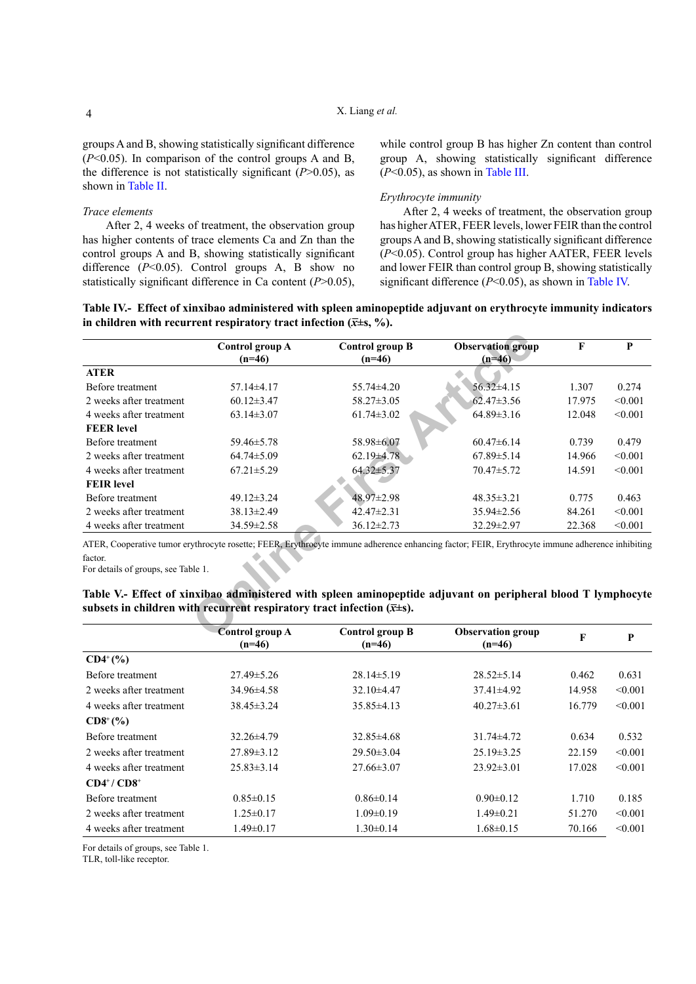groups A and B, showing statistically significant difference (*P*<0.05). In comparison of the control groups A and B, the difference is not statistically significant (*P*>0.05), as shown in Table II.

## *Trace elements*

After 2, 4 weeks of treatment, the observation group has higher contents of trace elements Ca and Zn than the control groups A and B, showing statistically significant difference (*P*<0.05). Control groups A, B show no statistically significant difference in Ca content (*P*>0.05), while control group B has higher Zn content than control group A, showing statistically significant difference (*P*<0.05), as shown in [Table](#page-2-1) III.

# *Erythrocyte immunity*

After 2, 4 weeks of treatment, the observation group has higher ATER, FEER levels, lower FEIR than the control groups A and B, showing statistically significant difference (*P*<0.05). Control group has higher AATER, FEER levels and lower FEIR than control group B, showing statistically significant difference (*P*<0.05), as shown in [Table](#page-3-0) IV.

<span id="page-3-0"></span>

| Table IV.- Effect of xinxibao administered with spleen aminopeptide adjuvant on erythrocyte immunity indicators |  |  |  |
|-----------------------------------------------------------------------------------------------------------------|--|--|--|
| in children with recurrent respiratory tract infection ( $\bar{x}$ ±s, %).                                      |  |  |  |

|                                                                                                                                           | Control group A<br>$(n=46)$ | Control group B<br>$(n=46)$ | <b>Observation group</b><br>$(n=46)$                                                                                                                                                                                                                            | F      | P       |
|-------------------------------------------------------------------------------------------------------------------------------------------|-----------------------------|-----------------------------|-----------------------------------------------------------------------------------------------------------------------------------------------------------------------------------------------------------------------------------------------------------------|--------|---------|
| <b>ATER</b>                                                                                                                               |                             |                             |                                                                                                                                                                                                                                                                 |        |         |
| Before treatment                                                                                                                          | $57.14\pm4.17$              | $55.74 \pm 4.20$            | $56.32 \pm 4.15$                                                                                                                                                                                                                                                | 1.307  | 0.274   |
| 2 weeks after treatment                                                                                                                   | $60.12 \pm 3.47$            | 58.27±3.05                  | $62.47 \pm 3.56$                                                                                                                                                                                                                                                | 17.975 | < 0.001 |
| 4 weeks after treatment                                                                                                                   | $63.14 \pm 3.07$            | $61.74 \pm 3.02$            | $64.89 \pm 3.16$                                                                                                                                                                                                                                                | 12.048 | < 0.001 |
| <b>FEER</b> level                                                                                                                         |                             |                             |                                                                                                                                                                                                                                                                 |        |         |
| Before treatment                                                                                                                          | $59.46 \pm 5.78$            | 58.98±6.07                  | $60.47\pm6.14$                                                                                                                                                                                                                                                  | 0.739  | 0.479   |
| 2 weeks after treatment                                                                                                                   | $64.74 \pm 5.09$            | $62.19\pm4.78$              | $67.89 \pm 5.14$                                                                                                                                                                                                                                                | 14.966 | < 0.001 |
| 4 weeks after treatment                                                                                                                   | $67.21 \pm 5.29$            | $64.32 \pm 5.37$            | $70.47 \pm 5.72$                                                                                                                                                                                                                                                | 14.591 | < 0.001 |
| <b>FEIR</b> level                                                                                                                         |                             |                             |                                                                                                                                                                                                                                                                 |        |         |
| Before treatment                                                                                                                          | $49.12 \pm 3.24$            | $48.97 \pm 2.98$            | $48.35 \pm 3.21$                                                                                                                                                                                                                                                | 0.775  | 0.463   |
| 2 weeks after treatment                                                                                                                   | $38.13 \pm 2.49$            | $42.47 \pm 2.31$            | $35.94 \pm 2.56$                                                                                                                                                                                                                                                | 84.261 | < 0.001 |
| 4 weeks after treatment                                                                                                                   | 34.59±2.58                  | $36.12 \pm 2.73$            | 32.29±2.97                                                                                                                                                                                                                                                      | 22.368 | < 0.001 |
| factor.<br>For details of groups, see Table 1.<br>subsets in children with recurrent respiratory tract infection $(\overline{x} \pm s)$ . |                             |                             | ATER, Cooperative tumor erythrocyte rosette; FEER, Erythrocyte immune adherence enhancing factor; FEIR, Erythrocyte immune adherence inhibiting<br>Table V.- Effect of xinxibao administered with spleen aminopeptide adjuvant on peripheral blood T lymphocyto |        |         |
|                                                                                                                                           | Control group A             | Control group B             | <b>Observation group</b>                                                                                                                                                                                                                                        |        |         |

<span id="page-3-1"></span>

| Table V.- Effect of xinxibao administered with spleen aminopeptide adjuvant on peripheral blood T lymphocyte |  |  |
|--------------------------------------------------------------------------------------------------------------|--|--|
| subsets in children with recurrent respiratory tract infection $(\overline{x} \pm s)$ .                      |  |  |

|                         | Control group A<br>$(n=46)$ | Control group B<br>$(n=46)$ | <b>Observation group</b><br>$(n=46)$ | F      | P       |
|-------------------------|-----------------------------|-----------------------------|--------------------------------------|--------|---------|
| $CD4^+(%)$              |                             |                             |                                      |        |         |
| Before treatment        | $27.49 \pm 5.26$            | $28.14\pm 5.19$             | $28.52 \pm 5.14$                     | 0.462  | 0.631   |
| 2 weeks after treatment | $34.96\pm4.58$              | $32.10\pm4.47$              | $37.41 \pm 4.92$                     | 14.958 | < 0.001 |
| 4 weeks after treatment | $38.45 \pm 3.24$            | $35.85\pm4.13$              | $40.27 \pm 3.61$                     | 16.779 | < 0.001 |
| $CD8^+(%)$              |                             |                             |                                      |        |         |
| Before treatment        | $32.26\pm4.79$              | $32.85\pm4.68$              | $31.74\pm4.72$                       | 0.634  | 0.532   |
| 2 weeks after treatment | $27.89 \pm 3.12$            | $29.50 \pm 3.04$            | $25.19 \pm 3.25$                     | 22.159 | < 0.001 |
| 4 weeks after treatment | $25.83\pm3.14$              | $27.66\pm3.07$              | $23.92\pm3.01$                       | 17.028 | < 0.001 |
| $CD4^+/CD8^+$           |                             |                             |                                      |        |         |
| Before treatment        | $0.85 \pm 0.15$             | $0.86 \pm 0.14$             | $0.90 \pm 0.12$                      | 1.710  | 0.185   |
| 2 weeks after treatment | $1.25 \pm 0.17$             | $1.09 \pm 0.19$             | $1.49\pm0.21$                        | 51.270 | < 0.001 |
| 4 weeks after treatment | $1.49 \pm 0.17$             | $1.30 \pm 0.14$             | $1.68 \pm 0.15$                      | 70.166 | < 0.001 |
|                         |                             |                             |                                      |        |         |

For details of groups, see Table 1.

TLR, toll-like receptor.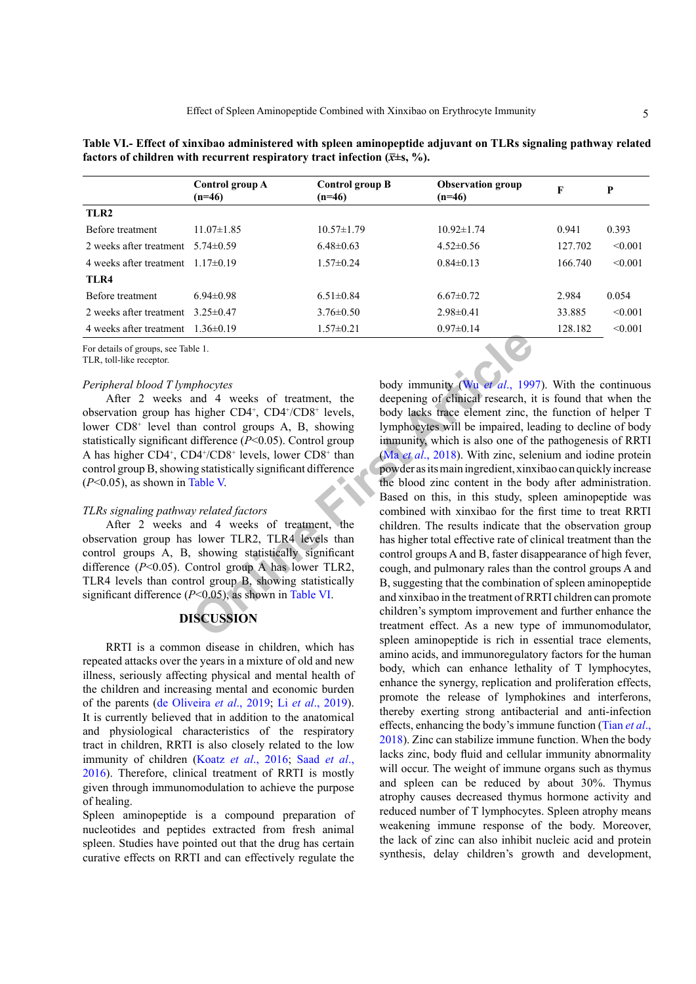|                                      | Control group A<br>$(n=46)$ | Control group B<br>$(n=46)$ | <b>Observation group</b><br>$(n=46)$ | F       | P       |
|--------------------------------------|-----------------------------|-----------------------------|--------------------------------------|---------|---------|
| TLR2                                 |                             |                             |                                      |         |         |
| Before treatment                     | $11.07 \pm 1.85$            | $10.57 \pm 1.79$            | $10.92 \pm 1.74$                     | 0.941   | 0.393   |
| 2 weeks after treatment              | 5 74 $\pm$ 0 59             | $6.48\pm0.63$               | $4.52\pm0.56$                        | 127.702 | < 0.001 |
| 4 weeks after treatment $117\pm0.19$ |                             | $1.57\pm 0.24$              | $0.84\pm0.13$                        | 166 740 | < 0.001 |
| TLR4                                 |                             |                             |                                      |         |         |
| Before treatment                     | $694\pm098$                 | $6.51 \pm 0.84$             | $6.67\pm0.72$                        | 2.984   | 0.054   |
| 2 weeks after treatment              | 3 25 $\pm$ 0 47             | $3.76 \pm 0.50$             | $2.98\pm0.41$                        | 33.885  | < 0.001 |
| 4 weeks after treatment              | $1.36 \pm 0.19$             | $1.57\pm0.21$               | $0.97\pm 0.14$                       | 128.182 | < 0.001 |

**Table VI.- Effect of xinxibao administered with spleen aminopeptide adjuvant on TLRs signaling pathway related factors of children with recurrent respiratory tract infection**  $(\bar{x} \pm s, \frac{\%}{\ }s)$ **.** 

For details of groups, see Table 1.

TLR, toll-like receptor.

# *Peripheral blood T lymphocytes*

After 2 weeks and 4 weeks of treatment, the observation group has higher CD4+ , CD4+ /CD8+ levels, lower CD8<sup>+</sup> level than control groups A, B, showing statistically significant difference (*P*<0.05). Control group A has higher CD4<sup>+</sup>, CD4<sup>+</sup>/CD8<sup>+</sup> levels, lower CD8<sup>+</sup> than control group B, showing statistically significant difference (*P*<0.05), as shown in Table V.

## *TLRs signaling pathway related factors*

After 2 weeks and 4 weeks of treatment, the observation group has lower TLR2, TLR4 levels than control groups A, B, showing statistically significant difference (*P*<0.05). Control group A has lower TLR2, TLR4 levels than control group B, showing statistically significant difference (*P*<0.05), as shown in Table VI.

# **DISCUSSION**

RRTI is a common disease in children, which has repeated attacks over the years in a mixture of old and new illness, seriously affecting physical and mental health of the children and increasing mental and economic burden of the parents [\(de Oliveira](#page-5-3) *et al*., 2019; Li *et al*[., 2019](#page-6-6)). It is currently believed that in addition to the anatomical and physiological characteristics of the respiratory tract in children, RRTI is also closely related to the low immunity of children (Koatz *et al*., 2016; [Saad](#page-6-7) *et al*., [2016\)](#page-6-7). Therefore, clinical treatment of RRTI is mostly given through immunomodulation to achieve the purpose of healing.

<span id="page-4-0"></span>Spleen aminopeptide is a compound preparation of nucleotides and peptides extracted from fresh animal spleen. Studies have pointed out that the drug has certain curative effects on RRTI and can effectively regulate the

**Example the set Constitution**<br>
Subsettive Constitution of the state of the set of the set of the set of the set of the set of the set of the set of the set of the set of the set of the set of the set of the set of the set body immunity (Wu *et al*., 1997). With the continuous deepening of clinical research, it is found that when the body lacks trace element zinc, the function of helper T lymphocytes will be impaired, leading to decline of body immunity, which is also one of the pathogenesis of RRTI (Ma *et al*., 2018). With zinc, selenium and iodine protein powder as its main ingredient, xinxibao can quickly increase the blood zinc content in the body after administration. Based on this, in this study, spleen aminopeptide was combined with xinxibao for the first time to treat RRTI children. The results indicate that the observation group has higher total effective rate of clinical treatment than the control groups A and B, faster disappearance of high fever, cough, and pulmonary rales than the control groups A and B, suggesting that the combination of spleen aminopeptide and xinxibao in the treatment of RRTI children can promote children's symptom improvement and further enhance the treatment effect. As a new type of immunomodulator, spleen aminopeptide is rich in essential trace elements, amino acids, and immunoregulatory factors for the human body, which can enhance lethality of T lymphocytes, enhance the synergy, replication and proliferation effects, promote the release of lymphokines and interferons, thereby exerting strong antibacterial and anti-infection effects, enhancing the body's immune function [\(Tian](#page-6-4) *et al*., [2018\)](#page-6-4). Zinc can stabilize immune function. When the body lacks zinc, body fluid and cellular immunity abnormality will occur. The weight of immune organs such as thymus and spleen can be reduced by about 30%. Thymus atrophy causes decreased thymus hormone activity and reduced number of T lymphocytes. Spleen atrophy means weakening immune response of the body. Moreover, the lack of zinc can also inhibit nucleic acid and protein synthesis, delay children's growth and development,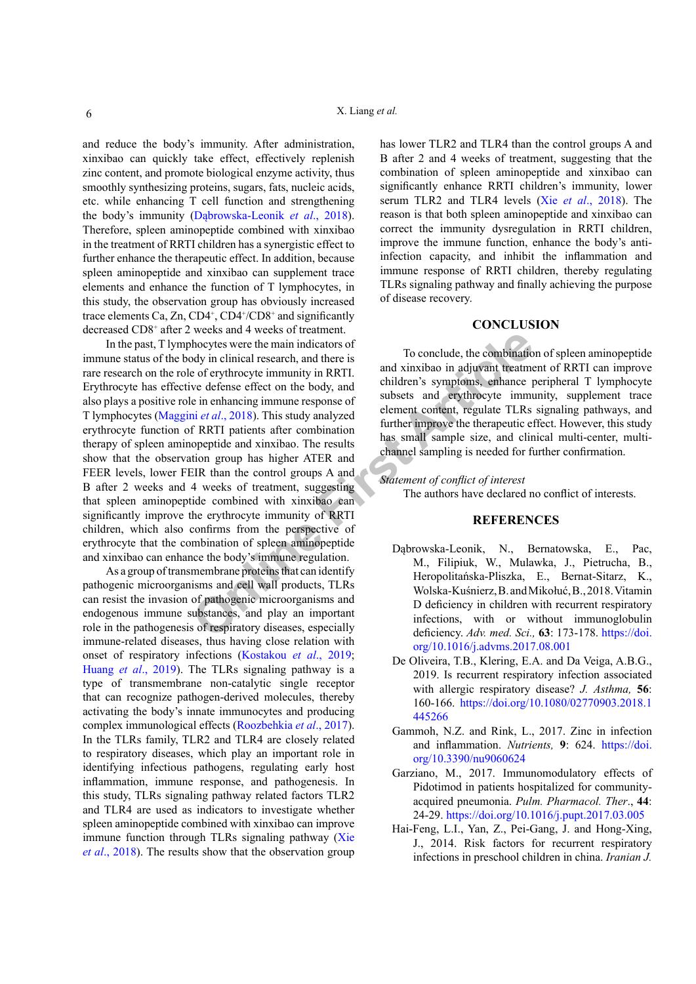and reduce the body's immunity. After administration, xinxibao can quickly take effect, effectively replenish zinc content, and promote biological enzyme activity, thus smoothly synthesizing proteins, sugars, fats, nucleic acids, etc. while enhancing T cell function and strengthening the body's immunity (Dąbrowska-Leonik *et al*., 2018). Therefore, spleen aminopeptide combined with xinxibao in the treatment of RRTI children has a synergistic effect to further enhance the therapeutic effect. In addition, because spleen aminopeptide and xinxibao can supplement trace elements and enhance the function of T lymphocytes, in this study, the observation group has obviously increased trace elements Ca, Zn,  $CD4^+$ ,  $CD4^+/CD8^+$  and significantly decreased CD8+ after 2 weeks and 4 weeks of treatment.

weeks and weeks of teather intendenties.<br>
Whocytes were the main indicators of<br>
ordy in clinical research, and there is<br>
e of erythrocyte immunity in RRTI.<br>
we defense effect on the body, and<br>
e in enhancing immune respons In the past, T lymphocytes were the main indicators of immune status of the body in clinical research, and there is rare research on the role of erythrocyte immunity in RRTI. Erythrocyte has effective defense effect on the body, and also plays a positive role in enhancing immune response of T lymphocytes (Maggini *et al*., 2018). This study analyzed erythrocyte function of RRTI patients after combination therapy of spleen aminopeptide and xinxibao. The results show that the observation group has higher ATER and FEER levels, lower FEIR than the control groups A and B after 2 weeks and 4 weeks of treatment, suggesting that spleen aminopeptide combined with xinxibao can significantly improve the erythrocyte immunity of RRTI children, which also confirms from the perspective of erythrocyte that the combination of spleen aminopeptide and xinxibao can enhance the body's immune regulation.

As a group of transmembrane proteins that can identify pathogenic microorganisms and cell wall products, TLRs can resist the invasion of pathogenic microorganisms and endogenous immune substances, and play an important role in the pathogenesis of respiratory diseases, especially immune-related diseases, thus having close relation with onset of respiratory infections ([Kostakou](#page-6-11) *et al*., 2019; Huang *et al*[., 2019\)](#page-6-12). The TLRs signaling pathway is a type of transmembrane non-catalytic single receptor that can recognize pathogen-derived molecules, thereby activating the body's innate immunocytes and producing complex immunological effects ([Roozbehkia](#page-6-13) *et al*., 2017). In the TLRs family, TLR2 and TLR4 are closely related to respiratory diseases, which play an important role in identifying infectious pathogens, regulating early host inflammation, immune response, and pathogenesis. In this study, TLRs signaling pathway related factors TLR2 and TLR4 are used as indicators to investigate whether spleen aminopeptide combined with xinxibao can improve immune function through TLRs signaling pathway [\(Xie](#page-6-14) *et al*[., 2018\)](#page-6-14). The results show that the observation group

has lower TLR2 and TLR4 than the control groups A and B after 2 and 4 weeks of treatment, suggesting that the combination of spleen aminopeptide and xinxibao can significantly enhance RRTI children's immunity, lower serum TLR2 and TLR4 levels (Xie *et al*[., 2018\)](#page-6-14). The reason is that both spleen aminopeptide and xinxibao can correct the immunity dysregulation in RRTI children, improve the immune function, enhance the body's antiinfection capacity, and inhibit the inflammation and immune response of RRTI children, thereby regulating TLRs signaling pathway and finally achieving the purpose of disease recovery.

# **CONCLUSION**

To conclude, the combination of spleen aminopeptide and xinxibao in adjuvant treatment of RRTI can improve children's symptoms, enhance peripheral T lymphocyte subsets and erythrocyte immunity, supplement trace element content, regulate TLRs signaling pathways, and further improve the therapeutic effect. However, this study has small sample size, and clinical multi-center, multichannel sampling is needed for further confirmation.

# *Statement of conflict of interest*

The authors have declared no conflict of interests.

# **REFERENCES**

- Dąbrowska-Leonik, N., Bernatowska, E., Pac, M., Filipiuk, W., Mulawka, J., Pietrucha, B., Heropolitańska-Pliszka, E., Bernat-Sitarz, K., Wolska-Kuśnierz, B. and Mikołuć, B., 2018. Vitamin D deficiency in children with recurrent respiratory infections, with or without immunoglobulin deficiency. *Adv. med. Sci.,* **63**: 173-178. [https://doi.](https://doi.org/10.1016/j.advms.2017.08.001) [org/10.1016/j.advms.2017.08.001](https://doi.org/10.1016/j.advms.2017.08.001)
- <span id="page-5-3"></span>De Oliveira, T.B., Klering, E.A. and Da Veiga, A.B.G., 2019. Is recurrent respiratory infection associated with allergic respiratory disease? *J. Asthma,* **56**: 160-166. [https://doi.org/10.1080/02770903.2018.1](https://doi.org/10.1080/02770903.2018.1445266) [445266](https://doi.org/10.1080/02770903.2018.1445266)
- <span id="page-5-0"></span>Gammoh, N.Z. and Rink, L., 2017. Zinc in infection and inflammation. *Nutrients,* **9**: 624. [https://doi.](https://doi.org/10.3390/nu9060624) [org/10.3390/nu9060624](https://doi.org/10.3390/nu9060624)
- <span id="page-5-1"></span>Garziano, M., 2017. Immunomodulatory effects of Pidotimod in patients hospitalized for communityacquired pneumonia. *Pulm. Pharmacol. Ther*., **44**: 24-29. <https://doi.org/10.1016/j.pupt.2017.03.005>
- <span id="page-5-2"></span>Hai-Feng, L.I., Yan, Z., Pei-Gang, J. and Hong-Xing, J., 2014. Risk factors for recurrent respiratory infections in preschool children in china. *Iranian J.*